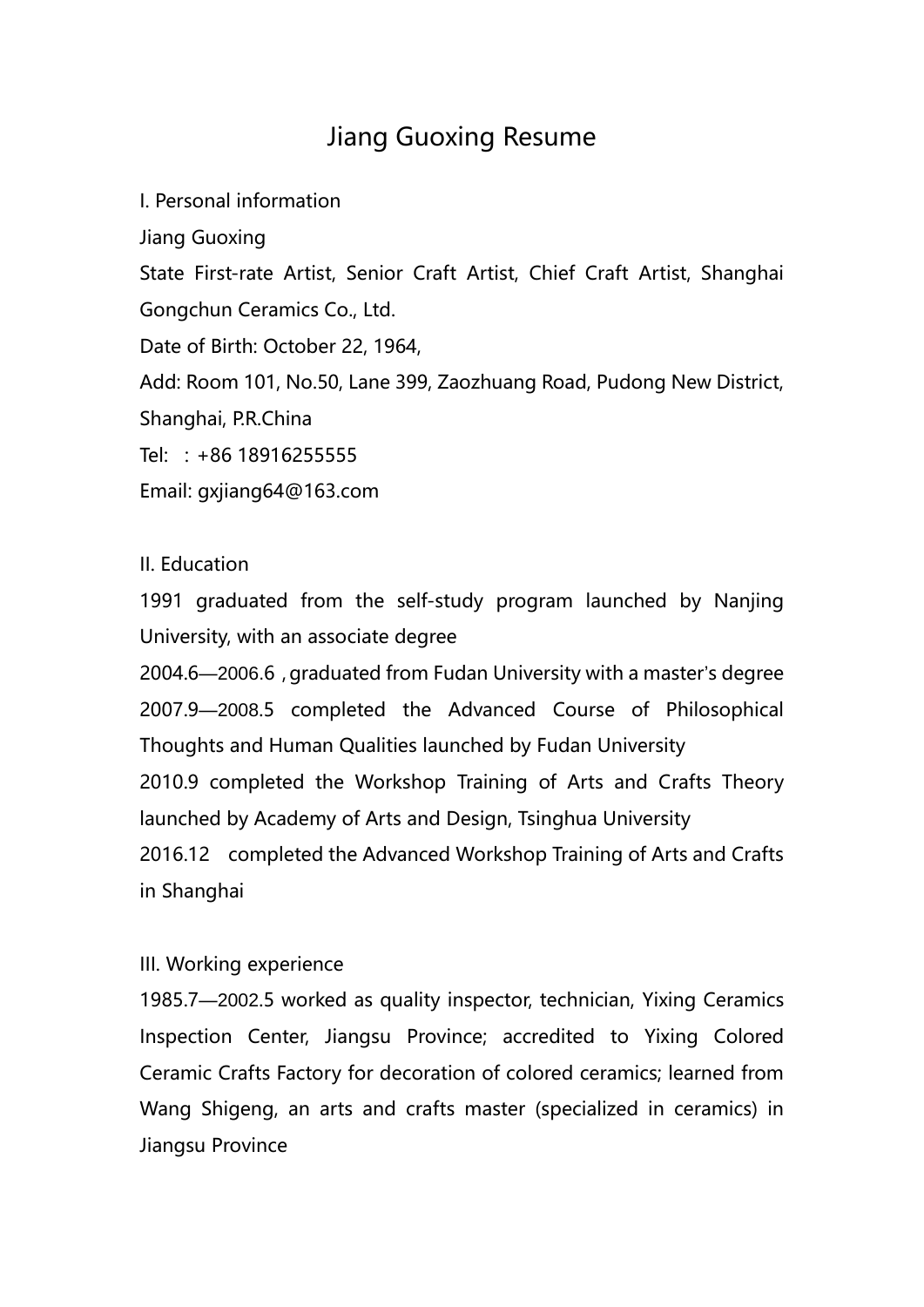## Jiang Guoxing Resume

I. Personal information

Jiang Guoxing

State First-rate Artist, Senior Craft Artist, Chief Craft Artist, Shanghai Gongchun Ceramics Co., Ltd.

Date of Birth: October 22, 1964,

Add: Room 101, No.50, Lane 399, Zaozhuang Road, Pudong New District, Shanghai, P.R.China

Tel: :+86 18916255555

Email: gxjiang64@163.com

## II. Education

1991 graduated from the self-study program launched by Nanjing University, with an associate degree

2004.6—2006.6, graduated from Fudan University with a master's degree 2007.9—2008.5 completed the Advanced Course of Philosophical Thoughts and Human Qualities launched by Fudan University 2010.9 completed the Workshop Training of Arts and Crafts Theory launched by Academy of Arts and Design, Tsinghua University 2016.12 completed the Advanced Workshop Training of Arts and Crafts in Shanghai

## III. Working experience

1985.7—2002.5 worked as quality inspector, technician, Yixing Ceramics Inspection Center, Jiangsu Province; accredited to Yixing Colored Ceramic Crafts Factory for decoration of colored ceramics; learned from Wang Shigeng, an arts and crafts master (specialized in ceramics) in Jiangsu Province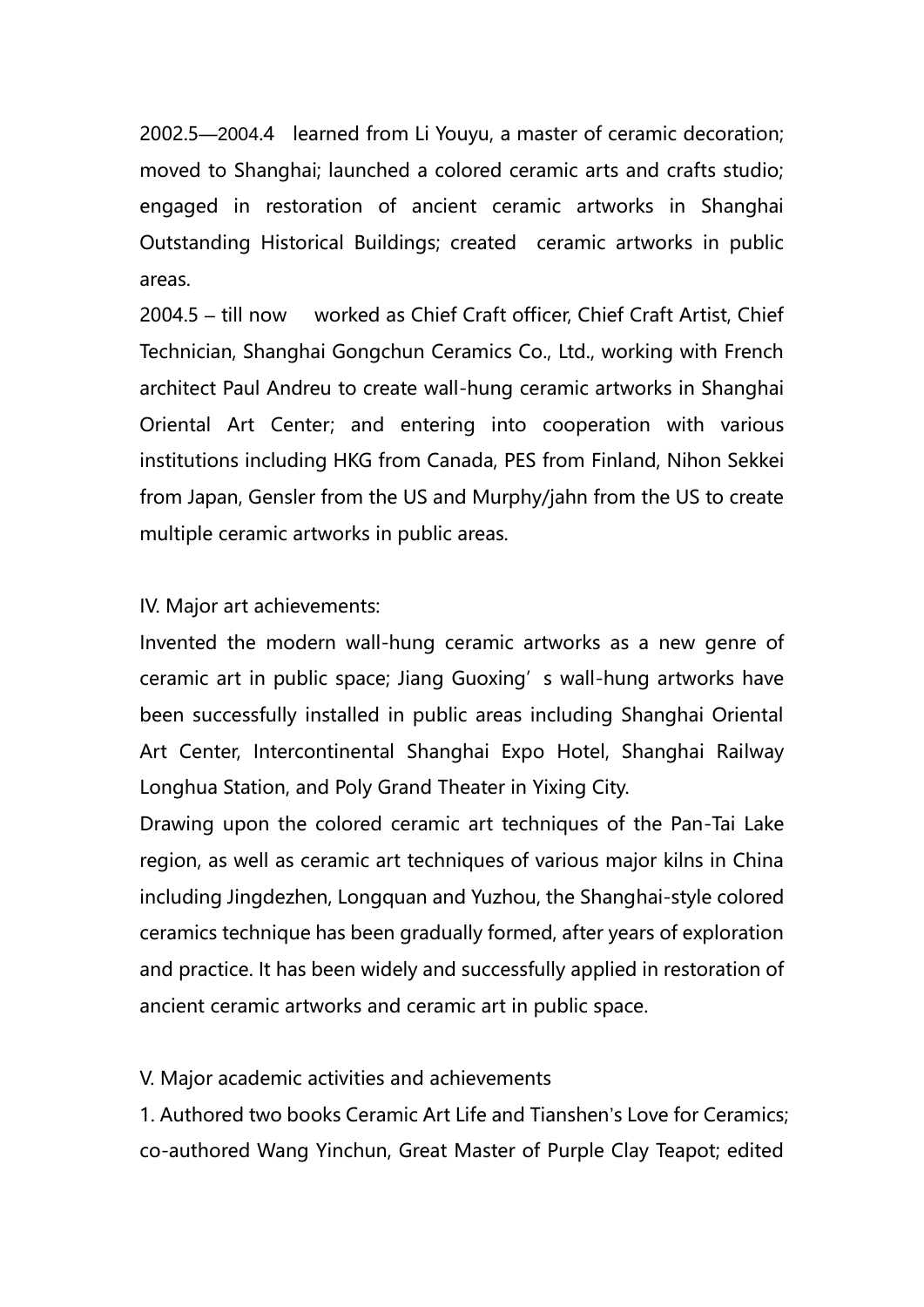2002.5—2004.4 learned from Li Youyu, a master of ceramic decoration; moved to Shanghai; launched a colored ceramic arts and crafts studio; engaged in restoration of ancient ceramic artworks in Shanghai Outstanding Historical Buildings; created ceramic artworks in public areas.

2004.5 – till now worked as Chief Craft officer, Chief Craft Artist, Chief Technician, Shanghai Gongchun Ceramics Co., Ltd., working with French architect Paul Andreu to create wall-hung ceramic artworks in Shanghai Oriental Art Center; and entering into cooperation with various institutions including HKG from Canada, PES from Finland, Nihon Sekkei from Japan, Gensler from the US and Murphy/jahn from the US to create multiple ceramic artworks in public areas.

IV. Major art achievements:

Invented the modern wall-hung ceramic artworks as a new genre of ceramic art in public space; Jiang Guoxing's wall-hung artworks have been successfully installed in public areas including Shanghai Oriental Art Center, Intercontinental Shanghai Expo Hotel, Shanghai Railway Longhua Station, and Poly Grand Theater in Yixing City.

Drawing upon the colored ceramic art techniques of the Pan-Tai Lake region, as well as ceramic art techniques of various major kilns in China including Jingdezhen, Longquan and Yuzhou, the Shanghai-style colored ceramics technique has been gradually formed, after years of exploration and practice. It has been widely and successfully applied in restoration of ancient ceramic artworks and ceramic art in public space.

V. Major academic activities and achievements

1. Authored two books Ceramic Art Life and Tianshen's Love for Ceramics; co-authored Wang Yinchun, Great Master of Purple Clay Teapot; edited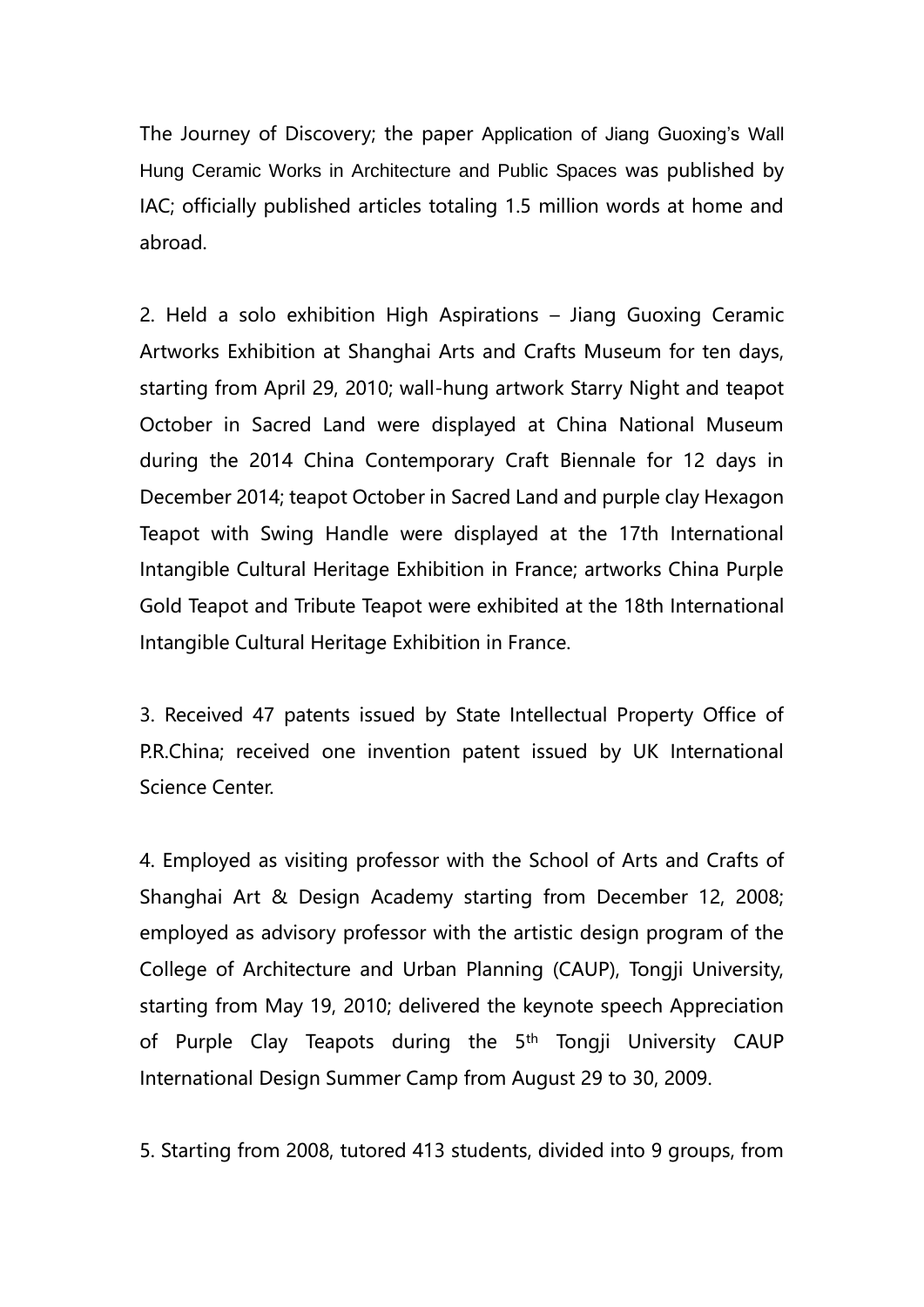The Journey of Discovery; the paper Application of Jiang Guoxing's Wall Hung Ceramic Works in Architecture and Public Spaces was published by IAC; officially published articles totaling 1.5 million words at home and abroad.

2. Held a solo exhibition High Aspirations – Jiang Guoxing Ceramic Artworks Exhibition at Shanghai Arts and Crafts Museum for ten days, starting from April 29, 2010; wall-hung artwork Starry Night and teapot October in Sacred Land were displayed at China National Museum during the 2014 China Contemporary Craft Biennale for 12 days in December 2014; teapot October in Sacred Land and purple clay Hexagon Teapot with Swing Handle were displayed at the 17th International Intangible Cultural Heritage Exhibition in France; artworks China Purple Gold Teapot and Tribute Teapot were exhibited at the 18th International Intangible Cultural Heritage Exhibition in France.

3. Received 47 patents issued by State Intellectual Property Office of P.R.China; received one invention patent issued by UK International Science Center.

4. Employed as visiting professor with the School of Arts and Crafts of Shanghai Art & Design Academy starting from December 12, 2008; employed as advisory professor with the artistic design program of the College of Architecture and Urban Planning (CAUP), Tongji University, starting from May 19, 2010; delivered the keynote speech Appreciation of Purple Clay Teapots during the 5<sup>th</sup> Tongji University CAUP International Design Summer Camp from August 29 to 30, 2009.

5. Starting from 2008, tutored 413 students, divided into 9 groups, from